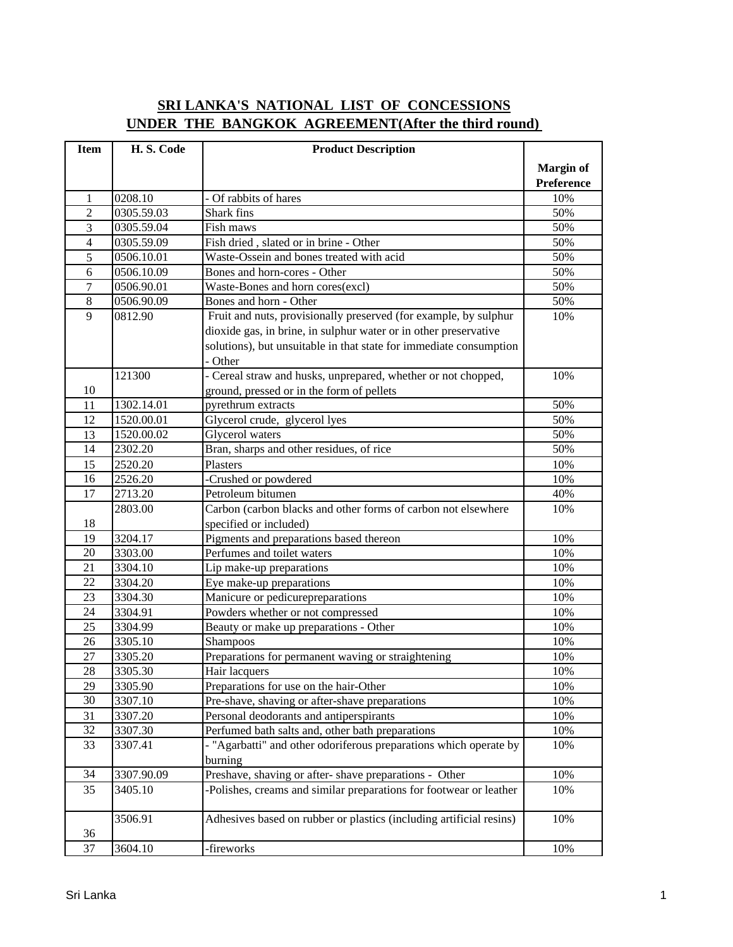## **SRI LANKA'S NATIONAL LIST OF CONCESSIONS UNDER THE BANGKOK AGREEMENT(After the third round)**

| <b>Item</b>    | H.S. Code  | <b>Product Description</b>                                          |                  |
|----------------|------------|---------------------------------------------------------------------|------------------|
|                |            |                                                                     | <b>Margin of</b> |
|                |            |                                                                     | Preference       |
| 1              | 0208.10    | - Of rabbits of hares                                               | 10%              |
| $\overline{2}$ | 0305.59.03 | Shark fins                                                          | 50%              |
| 3              | 0305.59.04 | Fish maws                                                           | 50%              |
| $\overline{4}$ | 0305.59.09 | Fish dried, slated or in brine - Other                              | 50%              |
| 5              | 0506.10.01 | Waste-Ossein and bones treated with acid                            | 50%              |
| 6              | 0506.10.09 | Bones and horn-cores - Other                                        | 50%              |
| 7              | 0506.90.01 | Waste-Bones and horn cores(excl)                                    | 50%              |
| $\,8\,$        | 0506.90.09 | Bones and horn - Other                                              | 50%              |
| 9              | 0812.90    | Fruit and nuts, provisionally preserved (for example, by sulphur    | 10%              |
|                |            | dioxide gas, in brine, in sulphur water or in other preservative    |                  |
|                |            | solutions), but unsuitable in that state for immediate consumption  |                  |
|                |            | - Other                                                             |                  |
|                | 121300     | - Cereal straw and husks, unprepared, whether or not chopped,       | 10%              |
| 10             |            | ground, pressed or in the form of pellets                           |                  |
| 11             | 1302.14.01 | pyrethrum extracts                                                  | 50%              |
| 12             | 1520.00.01 | Glycerol crude, glycerol lyes                                       | 50%              |
| 13             | 1520.00.02 | Glycerol waters                                                     | 50%              |
| 14             | 2302.20    | Bran, sharps and other residues, of rice                            | 50%              |
| 15             | 2520.20    | Plasters                                                            | 10%              |
| 16             | 2526.20    | -Crushed or powdered                                                | 10%              |
| 17             | 2713.20    | Petroleum bitumen                                                   | 40%              |
|                | 2803.00    | Carbon (carbon blacks and other forms of carbon not elsewhere       | 10%              |
| 18             |            | specified or included)                                              |                  |
| 19             | 3204.17    | Pigments and preparations based thereon                             | 10%              |
| 20             | 3303.00    | Perfumes and toilet waters                                          | 10%              |
| 21             | 3304.10    | Lip make-up preparations                                            | 10%              |
| 22             | 3304.20    | Eye make-up preparations                                            | 10%              |
| 23             | 3304.30    | Manicure or pedicurepreparations                                    | 10%              |
| 24             | 3304.91    | Powders whether or not compressed                                   | 10%              |
| 25             | 3304.99    | Beauty or make up preparations - Other                              | 10%              |
| 26             | 3305.10    | Shampoos                                                            | 10%              |
| 27             | 3305.20    | Preparations for permanent waving or straightening                  | 10%              |
| 28             | 3305.30    | Hair lacquers                                                       | 10%              |
| 29             | 3305.90    | Preparations for use on the hair-Other                              | 10%              |
| 30             | 3307.10    | Pre-shave, shaving or after-shave preparations                      | 10%              |
| 31             | 3307.20    | Personal deodorants and antiperspirants                             | 10%              |
| 32             | 3307.30    | Perfumed bath salts and, other bath preparations                    | 10%              |
| 33             | 3307.41    | - "Agarbatti" and other odoriferous preparations which operate by   | 10%              |
|                |            | burning                                                             |                  |
| 34             | 3307.90.09 | Preshave, shaving or after-shave preparations - Other               | 10%              |
| 35             | 3405.10    | -Polishes, creams and similar preparations for footwear or leather  | 10%              |
|                |            |                                                                     |                  |
|                | 3506.91    | Adhesives based on rubber or plastics (including artificial resins) | 10%              |
| 36             |            |                                                                     |                  |
| 37             | 3604.10    | -fireworks                                                          | 10%              |
|                |            |                                                                     |                  |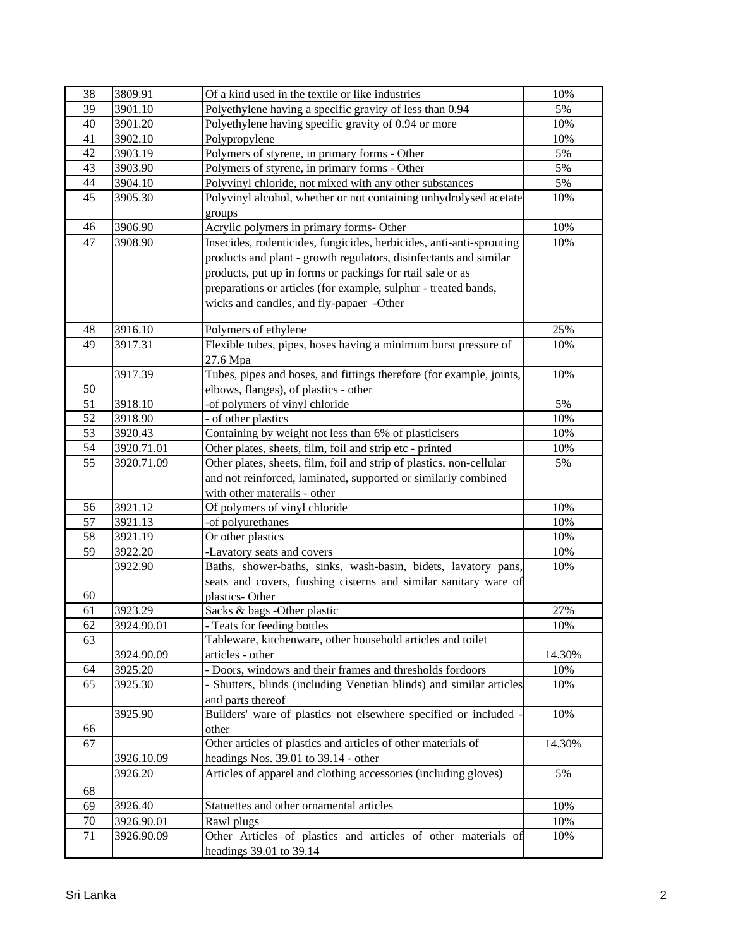| 38                    | 3809.91    | Of a kind used in the textile or like industries                     | 10%        |
|-----------------------|------------|----------------------------------------------------------------------|------------|
| 39                    | 3901.10    | Polyethylene having a specific gravity of less than 0.94             | 5%         |
| 40                    | 3901.20    | Polyethylene having specific gravity of 0.94 or more                 | 10%        |
| 41                    | 3902.10    | Polypropylene                                                        | 10%        |
| 42                    | 3903.19    | Polymers of styrene, in primary forms - Other                        | 5%         |
| 43                    | 3903.90    | Polymers of styrene, in primary forms - Other                        | 5%         |
| 44                    | 3904.10    | Polyvinyl chloride, not mixed with any other substances              | 5%         |
| 45                    | 3905.30    | Polyvinyl alcohol, whether or not containing unhydrolysed acetate    | 10%        |
|                       |            | groups                                                               |            |
| 46                    | 3906.90    | Acrylic polymers in primary forms- Other                             | 10%        |
| 47                    | 3908.90    | Insecides, rodenticides, fungicides, herbicides, anti-anti-sprouting | 10%        |
|                       |            | products and plant - growth regulators, disinfectants and similar    |            |
|                       |            | products, put up in forms or packings for rtail sale or as           |            |
|                       |            | preparations or articles (for example, sulphur - treated bands,      |            |
|                       |            | wicks and candles, and fly-papaer -Other                             |            |
|                       |            |                                                                      |            |
| 48                    | 3916.10    | Polymers of ethylene                                                 | 25%        |
| 49                    | 3917.31    | Flexible tubes, pipes, hoses having a minimum burst pressure of      | 10%        |
|                       |            | 27.6 Mpa                                                             |            |
|                       | 3917.39    | Tubes, pipes and hoses, and fittings therefore (for example, joints, | 10%        |
| 50                    |            | elbows, flanges), of plastics - other                                |            |
| 51                    | 3918.10    | -of polymers of vinyl chloride                                       | 5%         |
| 52                    | 3918.90    | - of other plastics                                                  | 10%        |
| 53                    | 3920.43    | Containing by weight not less than 6% of plasticisers                | 10%        |
| 54                    | 3920.71.01 | Other plates, sheets, film, foil and strip etc - printed             | 10%        |
| 55                    | 3920.71.09 | Other plates, sheets, film, foil and strip of plastics, non-cellular | 5%         |
|                       |            | and not reinforced, laminated, supported or similarly combined       |            |
|                       |            | with other materails - other                                         |            |
| 56                    | 3921.12    | Of polymers of vinyl chloride                                        | 10%        |
| 57<br>$\overline{58}$ | 3921.13    | -of polyurethanes                                                    | 10%        |
|                       | 3921.19    | Or other plastics                                                    | 10%        |
| 59                    | 3922.20    | -Lavatory seats and covers                                           | 10%<br>10% |
|                       | 3922.90    | Baths, shower-baths, sinks, wash-basin, bidets, lavatory pans,       |            |
| 60                    |            | seats and covers, fiushing cisterns and similar sanitary ware of     |            |
| 61                    | 3923.29    | plastics-Other<br>Sacks & bags -Other plastic                        | 27%        |
| 62                    | 3924.90.01 | - Teats for feeding bottles                                          | 10%        |
| 63                    |            | Tableware, kitchenware, other household articles and toilet          |            |
|                       | 3924.90.09 | articles - other                                                     | 14.30%     |
| 64                    | 3925.20    | - Doors, windows and their frames and thresholds fordoors            | 10%        |
| 65                    | 3925.30    | - Shutters, blinds (including Venetian blinds) and similar articles  | 10%        |
|                       |            | and parts thereof                                                    |            |
|                       | 3925.90    | Builders' ware of plastics not elsewhere specified or included       | 10%        |
| 66                    |            | other                                                                |            |
| 67                    |            | Other articles of plastics and articles of other materials of        | 14.30%     |
|                       | 3926.10.09 | headings Nos. 39.01 to 39.14 - other                                 |            |
|                       | 3926.20    | Articles of apparel and clothing accessories (including gloves)      | 5%         |
| 68                    |            |                                                                      |            |
| 69                    | 3926.40    | Statuettes and other ornamental articles                             | 10%        |
| 70                    | 3926.90.01 | Rawl plugs                                                           | 10%        |
| 71                    | 3926.90.09 | Other Articles of plastics and articles of other materials of        | 10%        |
|                       |            |                                                                      |            |
|                       |            | headings 39.01 to 39.14                                              |            |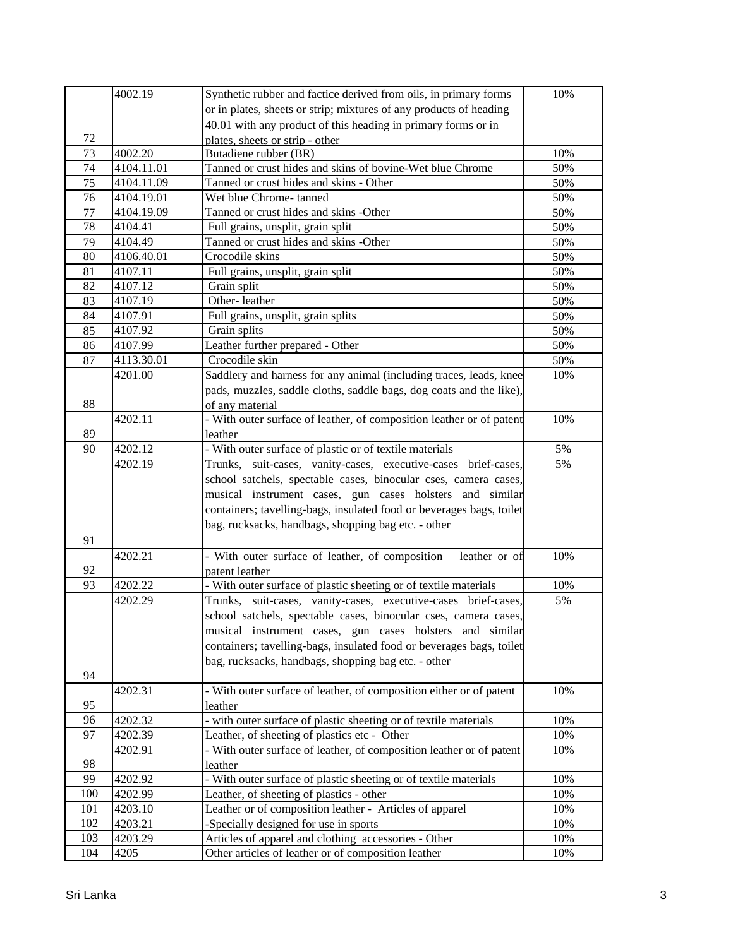| 4002.19<br>Synthetic rubber and factice derived from oils, in primary forms       | 10% |
|-----------------------------------------------------------------------------------|-----|
| or in plates, sheets or strip; mixtures of any products of heading                |     |
| 40.01 with any product of this heading in primary forms or in                     |     |
| 72<br>plates, sheets or strip - other                                             |     |
| 73<br>4002.20<br>Butadiene rubber (BR)                                            | 10% |
| 74<br>4104.11.01<br>Tanned or crust hides and skins of bovine-Wet blue Chrome     | 50% |
| 75<br>Tanned or crust hides and skins - Other<br>4104.11.09                       | 50% |
| 76<br>4104.19.01<br>Wet blue Chrome-tanned                                        | 50% |
| 4104.19.09<br>Tanned or crust hides and skins -Other<br>77                        | 50% |
| 78<br>4104.41<br>Full grains, unsplit, grain split                                | 50% |
| Tanned or crust hides and skins -Other<br>4104.49<br>79                           | 50% |
| Crocodile skins<br>80<br>4106.40.01                                               | 50% |
| 4107.11<br>Full grains, unsplit, grain split<br>81                                | 50% |
| 82<br>4107.12<br>Grain split                                                      | 50% |
| 4107.19<br>Other-leather<br>83                                                    | 50% |
| 84<br>4107.91<br>Full grains, unsplit, grain splits                               | 50% |
| 4107.92<br>Grain splits<br>85                                                     | 50% |
| 4107.99<br>Leather further prepared - Other<br>86                                 | 50% |
| 4113.30.01<br>Crocodile skin<br>87                                                | 50% |
| Saddlery and harness for any animal (including traces, leads, knee<br>4201.00     | 10% |
| pads, muzzles, saddle cloths, saddle bags, dog coats and the like),               |     |
| 88<br>of any material                                                             |     |
| 4202.11<br>- With outer surface of leather, of composition leather or of patent   | 10% |
| 89<br>leather                                                                     |     |
| - With outer surface of plastic or of textile materials<br>4202.12<br>90          | 5%  |
| 4202.19<br>Trunks, suit-cases, vanity-cases, executive-cases brief-cases,         | 5%  |
| school satchels, spectable cases, binocular cses, camera cases,                   |     |
| musical instrument cases, gun cases holsters and similar                          |     |
| containers; tavelling-bags, insulated food or beverages bags, toilet              |     |
| bag, rucksacks, handbags, shopping bag etc. - other                               |     |
| 91                                                                                |     |
| 4202.21<br>- With outer surface of leather, of composition<br>leather or of       | 10% |
| 92<br>patent leather                                                              |     |
| 93<br>- With outer surface of plastic sheeting or of textile materials<br>4202.22 | 10% |
| 4202.29<br>Trunks, suit-cases, vanity-cases, executive-cases brief-cases,         | 5%  |
| school satchels, spectable cases, binocular cses, camera cases,                   |     |
| musical instrument cases, gun cases holsters and similar                          |     |
| containers; tavelling-bags, insulated food or beverages bags, toilet              |     |
| bag, rucksacks, handbags, shopping bag etc. - other                               |     |
| 94                                                                                |     |
| - With outer surface of leather, of composition either or of patent<br>4202.31    | 10% |
| 95<br>leather                                                                     |     |
| 96<br>with outer surface of plastic sheeting or of textile materials<br>4202.32   | 10% |
| 97<br>4202.39<br>Leather, of sheeting of plastics etc - Other                     | 10% |
| - With outer surface of leather, of composition leather or of patent<br>4202.91   | 10% |
| 98<br>leather                                                                     |     |
| 99<br>- With outer surface of plastic sheeting or of textile materials<br>4202.92 | 10% |
| 100<br>4202.99<br>Leather, of sheeting of plastics - other                        | 10% |
| 101<br>Leather or of composition leather - Articles of apparel<br>4203.10         | 10% |
| 102<br>4203.21<br>-Specially designed for use in sports                           | 10% |
| 103<br>4203.29<br>Articles of apparel and clothing accessories - Other            | 10% |
| 104<br>4205<br>Other articles of leather or of composition leather                | 10% |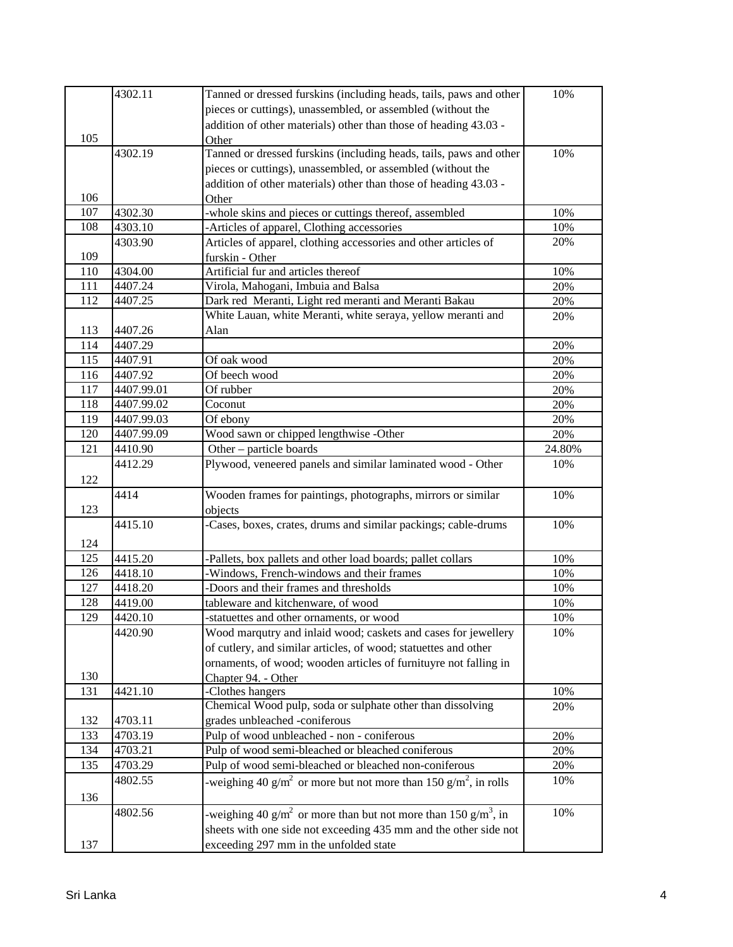|     | 4302.11    | Tanned or dressed furskins (including heads, tails, paws and other                      | 10%    |
|-----|------------|-----------------------------------------------------------------------------------------|--------|
|     |            | pieces or cuttings), unassembled, or assembled (without the                             |        |
|     |            | addition of other materials) other than those of heading 43.03 -                        |        |
| 105 |            | Other                                                                                   |        |
|     | 4302.19    | Tanned or dressed furskins (including heads, tails, paws and other                      | 10%    |
|     |            | pieces or cuttings), unassembled, or assembled (without the                             |        |
|     |            | addition of other materials) other than those of heading 43.03 -                        |        |
| 106 |            | Other                                                                                   |        |
| 107 | 4302.30    | -whole skins and pieces or cuttings thereof, assembled                                  | 10%    |
| 108 | 4303.10    | -Articles of apparel, Clothing accessories                                              | 10%    |
|     | 4303.90    | Articles of apparel, clothing accessories and other articles of                         | 20%    |
| 109 |            | furskin - Other                                                                         |        |
| 110 | 4304.00    | Artificial fur and articles thereof                                                     | 10%    |
| 111 | 4407.24    | Virola, Mahogani, Imbuia and Balsa                                                      | 20%    |
| 112 | 4407.25    | Dark red Meranti, Light red meranti and Meranti Bakau                                   | 20%    |
|     |            | White Lauan, white Meranti, white seraya, yellow meranti and                            | 20%    |
| 113 | 4407.26    | Alan                                                                                    |        |
| 114 | 4407.29    |                                                                                         | 20%    |
| 115 | 4407.91    | Of oak wood                                                                             | 20%    |
| 116 | 4407.92    | Of beech wood                                                                           | 20%    |
| 117 | 4407.99.01 | Of rubber                                                                               | 20%    |
| 118 | 4407.99.02 | Coconut                                                                                 | 20%    |
| 119 | 4407.99.03 | Of ebony                                                                                | 20%    |
| 120 | 4407.99.09 | Wood sawn or chipped lengthwise -Other                                                  | 20%    |
| 121 | 4410.90    | Other - particle boards                                                                 | 24.80% |
|     | 4412.29    | Plywood, veneered panels and similar laminated wood - Other                             | 10%    |
| 122 |            |                                                                                         |        |
|     | 4414       | Wooden frames for paintings, photographs, mirrors or similar                            | 10%    |
| 123 |            | objects                                                                                 |        |
|     | 4415.10    | -Cases, boxes, crates, drums and similar packings; cable-drums                          | 10%    |
| 124 |            |                                                                                         |        |
| 125 | 4415.20    | -Pallets, box pallets and other load boards; pallet collars                             | 10%    |
| 126 | 4418.10    | -Windows, French-windows and their frames                                               | 10%    |
| 127 | 4418.20    | -Doors and their frames and thresholds                                                  | 10%    |
| 128 | 4419.00    | tableware and kitchenware, of wood                                                      | 10%    |
| 129 | 4420.10    | -statuettes and other ornaments, or wood                                                | 10%    |
|     | 4420.90    | Wood marqutry and inlaid wood; caskets and cases for jewellery                          | 10%    |
|     |            | of cutlery, and similar articles, of wood; statuettes and other                         |        |
|     |            | ornaments, of wood; wooden articles of furnituyre not falling in                        |        |
| 130 |            | Chapter 94. - Other                                                                     |        |
| 131 | 4421.10    | -Clothes hangers                                                                        | 10%    |
|     |            | Chemical Wood pulp, soda or sulphate other than dissolving                              | 20%    |
| 132 | 4703.11    | grades unbleached -coniferous                                                           |        |
| 133 | 4703.19    | Pulp of wood unbleached - non - coniferous                                              | 20%    |
| 134 | 4703.21    | Pulp of wood semi-bleached or bleached coniferous                                       | 20%    |
| 135 | 4703.29    | Pulp of wood semi-bleached or bleached non-coniferous                                   | 20%    |
|     | 4802.55    | -weighing 40 g/m <sup>2</sup> or more but not more than 150 g/m <sup>2</sup> , in rolls | 10%    |
| 136 |            |                                                                                         |        |
|     | 4802.56    | -weighing 40 g/m <sup>2</sup> or more than but not more than 150 g/m <sup>3</sup> , in  | 10%    |
|     |            | sheets with one side not exceeding 435 mm and the other side not                        |        |
| 137 |            | exceeding 297 mm in the unfolded state                                                  |        |
|     |            |                                                                                         |        |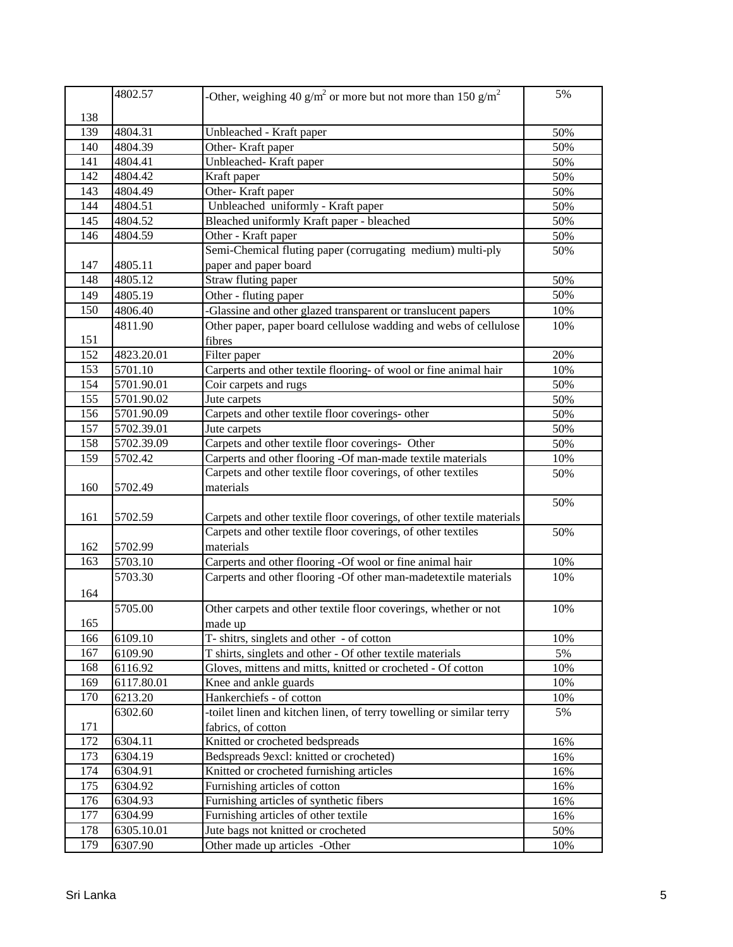|            | 4802.57    | -Other, weighing 40 g/m <sup>2</sup> or more but not more than 150 g/m <sup>2</sup> | 5%  |
|------------|------------|-------------------------------------------------------------------------------------|-----|
|            |            |                                                                                     |     |
| 138<br>139 | 4804.31    | Unbleached - Kraft paper                                                            | 50% |
| 140        | 4804.39    | Other-Kraft paper                                                                   | 50% |
| 141        | 4804.41    | Unbleached-Kraft paper                                                              | 50% |
| 142        | 4804.42    | Kraft paper                                                                         | 50% |
| 143        | 4804.49    | Other-Kraft paper                                                                   | 50% |
| 144        | 4804.51    | Unbleached uniformly - Kraft paper                                                  | 50% |
| 145        | 4804.52    | Bleached uniformly Kraft paper - bleached                                           | 50% |
| 146        | 4804.59    | Other - Kraft paper                                                                 | 50% |
|            |            | Semi-Chemical fluting paper (corrugating medium) multi-ply                          | 50% |
| 147        | 4805.11    | paper and paper board                                                               |     |
| 148        | 4805.12    | Straw fluting paper                                                                 | 50% |
| 149        | 4805.19    | Other - fluting paper                                                               | 50% |
| 150        | 4806.40    | -Glassine and other glazed transparent or translucent papers                        | 10% |
|            | 4811.90    | Other paper, paper board cellulose wadding and webs of cellulose                    | 10% |
| 151        |            | fibres                                                                              |     |
| 152        | 4823.20.01 | Filter paper                                                                        | 20% |
| 153        | 5701.10    | Carperts and other textile flooring- of wool or fine animal hair                    | 10% |
| 154        | 5701.90.01 | Coir carpets and rugs                                                               | 50% |
| 155        | 5701.90.02 | Jute carpets                                                                        | 50% |
| 156        | 5701.90.09 | Carpets and other textile floor coverings- other                                    | 50% |
| 157        | 5702.39.01 | Jute carpets                                                                        | 50% |
| 158        | 5702.39.09 | Carpets and other textile floor coverings- Other                                    | 50% |
| 159        | 5702.42    | Carperts and other flooring -Of man-made textile materials                          | 10% |
|            |            | Carpets and other textile floor coverings, of other textiles                        | 50% |
| 160        | 5702.49    | materials                                                                           |     |
|            |            |                                                                                     | 50% |
| 161        | 5702.59    | Carpets and other textile floor coverings, of other textile materials               |     |
|            |            | Carpets and other textile floor coverings, of other textiles                        | 50% |
| 162        | 5702.99    | materials                                                                           |     |
| 163        | 5703.10    | Carperts and other flooring -Of wool or fine animal hair                            | 10% |
|            | 5703.30    | Carperts and other flooring -Of other man-madetextile materials                     | 10% |
| 164        |            |                                                                                     |     |
|            | 5705.00    | Other carpets and other textile floor coverings, whether or not                     | 10% |
| 165        |            | made up                                                                             |     |
| 166        | 6109.10    | T- shitrs, singlets and other - of cotton                                           | 10% |
| 167        | 6109.90    | T shirts, singlets and other - Of other textile materials                           | 5%  |
| 168        | 6116.92    | Gloves, mittens and mitts, knitted or crocheted - Of cotton                         | 10% |
| 169        | 6117.80.01 | Knee and ankle guards                                                               | 10% |
| 170        | 6213.20    | Hankerchiefs - of cotton                                                            | 10% |
|            | 6302.60    | -toilet linen and kitchen linen, of terry towelling or similar terry                | 5%  |
| 171        |            | fabrics, of cotton                                                                  |     |
| 172        | 6304.11    | Knitted or crocheted bedspreads                                                     | 16% |
| 173        | 6304.19    | Bedspreads 9excl: knitted or crocheted)                                             | 16% |
| 174        | 6304.91    | Knitted or crocheted furnishing articles                                            | 16% |
| 175        | 6304.92    | Furnishing articles of cotton                                                       | 16% |
| 176        | 6304.93    | Furnishing articles of synthetic fibers                                             | 16% |
| 177        | 6304.99    | Furnishing articles of other textile                                                | 16% |
| 178        | 6305.10.01 | Jute bags not knitted or crocheted                                                  | 50% |
| 179        | 6307.90    | Other made up articles -Other                                                       | 10% |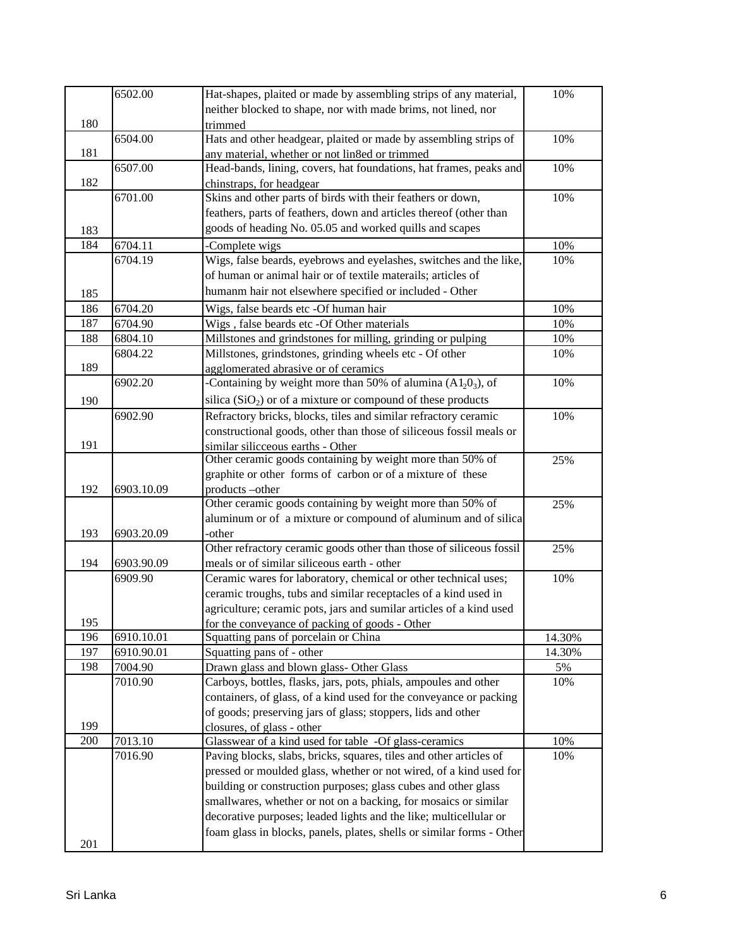|     | 6502.00    | Hat-shapes, plaited or made by assembling strips of any material,                                                                      | 10%    |
|-----|------------|----------------------------------------------------------------------------------------------------------------------------------------|--------|
|     |            | neither blocked to shape, nor with made brims, not lined, nor                                                                          |        |
| 180 |            | trimmed                                                                                                                                |        |
|     | 6504.00    | Hats and other headgear, plaited or made by assembling strips of                                                                       | 10%    |
| 181 |            | any material, whether or not lin8ed or trimmed                                                                                         |        |
|     | 6507.00    | Head-bands, lining, covers, hat foundations, hat frames, peaks and                                                                     | 10%    |
| 182 |            | chinstraps, for headgear                                                                                                               |        |
|     | 6701.00    | Skins and other parts of birds with their feathers or down,                                                                            | 10%    |
|     |            | feathers, parts of feathers, down and articles thereof (other than                                                                     |        |
| 183 |            | goods of heading No. 05.05 and worked quills and scapes                                                                                |        |
| 184 | 6704.11    | -Complete wigs                                                                                                                         | 10%    |
|     | 6704.19    | Wigs, false beards, eyebrows and eyelashes, switches and the like,                                                                     | 10%    |
|     |            | of human or animal hair or of textile materails; articles of                                                                           |        |
| 185 |            | humanm hair not elsewhere specified or included - Other                                                                                |        |
| 186 | 6704.20    | Wigs, false beards etc -Of human hair                                                                                                  | 10%    |
| 187 | 6704.90    | Wigs, false beards etc -Of Other materials                                                                                             | 10%    |
| 188 | 6804.10    | Millstones and grindstones for milling, grinding or pulping                                                                            | 10%    |
|     | 6804.22    | Millstones, grindstones, grinding wheels etc - Of other                                                                                | 10%    |
| 189 |            | agglomerated abrasive or of ceramics                                                                                                   |        |
|     | 6902.20    | -Containing by weight more than 50% of alumina $(A1203)$ , of                                                                          | 10%    |
| 190 |            | silica $(SiO2)$ or of a mixture or compound of these products                                                                          |        |
|     | 6902.90    | Refractory bricks, blocks, tiles and similar refractory ceramic                                                                        | 10%    |
|     |            | constructional goods, other than those of siliceous fossil meals or                                                                    |        |
| 191 |            | similar silicceous earths - Other                                                                                                      |        |
|     |            | Other ceramic goods containing by weight more than 50% of                                                                              | 25%    |
|     |            | graphite or other forms of carbon or of a mixture of these                                                                             |        |
| 192 | 6903.10.09 | products-other                                                                                                                         |        |
|     |            | Other ceramic goods containing by weight more than 50% of                                                                              | 25%    |
|     |            | aluminum or of a mixture or compound of aluminum and of silica                                                                         |        |
| 193 | 6903.20.09 | -other                                                                                                                                 |        |
|     |            | Other refractory ceramic goods other than those of siliceous fossil                                                                    | 25%    |
| 194 | 6903.90.09 | meals or of similar siliceous earth - other                                                                                            |        |
|     | 6909.90    | Ceramic wares for laboratory, chemical or other technical uses;                                                                        | 10%    |
|     |            | ceramic troughs, tubs and similar receptacles of a kind used in                                                                        |        |
|     |            | agriculture; ceramic pots, jars and sumilar articles of a kind used                                                                    |        |
| 195 |            | for the conveyance of packing of goods - Other                                                                                         |        |
| 196 | 6910.10.01 | Squatting pans of porcelain or China                                                                                                   | 14.30% |
| 197 | 6910.90.01 | Squatting pans of - other                                                                                                              | 14.30% |
| 198 | 7004.90    | Drawn glass and blown glass- Other Glass                                                                                               | 5%     |
|     | 7010.90    | Carboys, bottles, flasks, jars, pots, phials, ampoules and other<br>containers, of glass, of a kind used for the conveyance or packing | 10%    |
|     |            | of goods; preserving jars of glass; stoppers, lids and other                                                                           |        |
| 199 |            |                                                                                                                                        |        |
| 200 | 7013.10    | closures, of glass - other<br>Glasswear of a kind used for table -Of glass-ceramics                                                    | 10%    |
|     | 7016.90    | Paving blocks, slabs, bricks, squares, tiles and other articles of                                                                     | 10%    |
|     |            | pressed or moulded glass, whether or not wired, of a kind used for                                                                     |        |
|     |            | building or construction purposes; glass cubes and other glass                                                                         |        |
|     |            | smallwares, whether or not on a backing, for mosaics or similar                                                                        |        |
|     |            | decorative purposes; leaded lights and the like; multicellular or                                                                      |        |
|     |            | foam glass in blocks, panels, plates, shells or similar forms - Other                                                                  |        |
| 201 |            |                                                                                                                                        |        |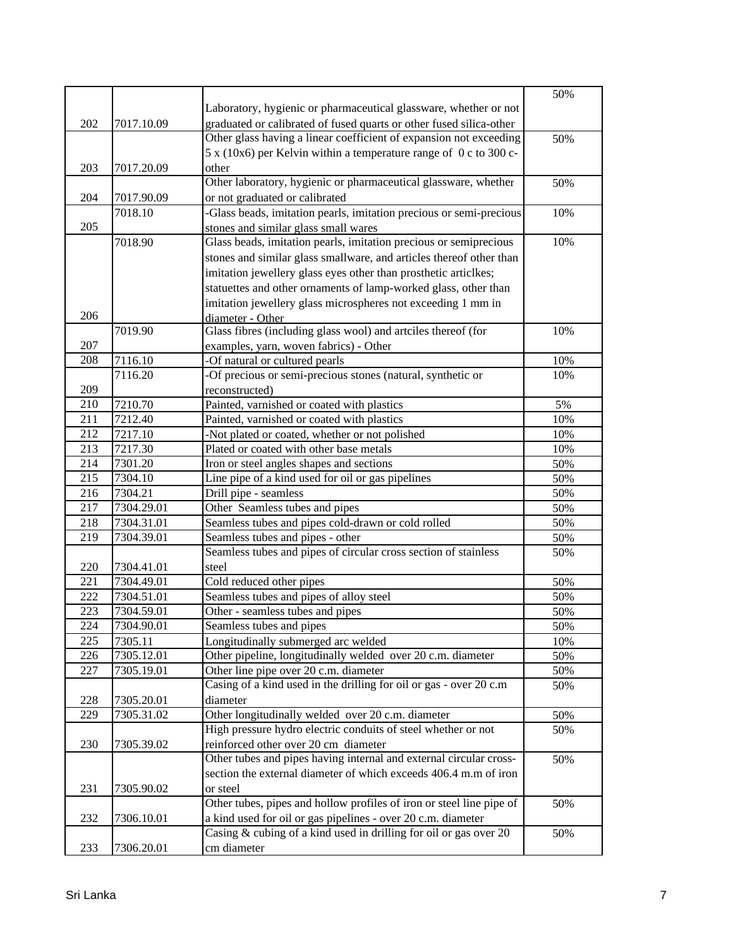|     |            |                                                                      | 50% |
|-----|------------|----------------------------------------------------------------------|-----|
|     |            | Laboratory, hygienic or pharmaceutical glassware, whether or not     |     |
| 202 | 7017.10.09 | graduated or calibrated of fused quarts or other fused silica-other  |     |
|     |            | Other glass having a linear coefficient of expansion not exceeding   | 50% |
|     |            | 5 x (10x6) per Kelvin within a temperature range of 0 c to 300 c-    |     |
| 203 | 7017.20.09 | other                                                                |     |
|     |            | Other laboratory, hygienic or pharmaceutical glassware, whether      | 50% |
| 204 | 7017.90.09 | or not graduated or calibrated                                       |     |
|     | 7018.10    | -Glass beads, imitation pearls, imitation precious or semi-precious  | 10% |
| 205 |            | stones and similar glass small wares                                 |     |
|     | 7018.90    | Glass beads, imitation pearls, imitation precious or semiprecious    | 10% |
|     |            | stones and similar glass smallware, and articles thereof other than  |     |
|     |            | imitation jewellery glass eyes other than prosthetic articlkes;      |     |
|     |            | statuettes and other ornaments of lamp-worked glass, other than      |     |
|     |            | imitation jewellery glass microspheres not exceeding 1 mm in         |     |
| 206 |            | diameter - Other                                                     |     |
|     | 7019.90    | Glass fibres (including glass wool) and artciles thereof (for        | 10% |
| 207 |            | examples, yarn, woven fabrics) - Other                               |     |
| 208 | 7116.10    | -Of natural or cultured pearls                                       | 10% |
|     | 7116.20    | -Of precious or semi-precious stones (natural, synthetic or          | 10% |
| 209 |            | reconstructed)                                                       |     |
| 210 | 7210.70    | Painted, varnished or coated with plastics                           | 5%  |
| 211 | 7212.40    | Painted, varnished or coated with plastics                           | 10% |
| 212 | 7217.10    | -Not plated or coated, whether or not polished                       | 10% |
| 213 | 7217.30    | Plated or coated with other base metals                              | 10% |
| 214 | 7301.20    | Iron or steel angles shapes and sections                             | 50% |
| 215 | 7304.10    | Line pipe of a kind used for oil or gas pipelines                    | 50% |
| 216 | 7304.21    | Drill pipe - seamless                                                | 50% |
| 217 | 7304.29.01 | Other Seamless tubes and pipes                                       | 50% |
| 218 | 7304.31.01 | Seamless tubes and pipes cold-drawn or cold rolled                   | 50% |
| 219 | 7304.39.01 | Seamless tubes and pipes - other                                     | 50% |
|     |            | Seamless tubes and pipes of circular cross section of stainless      | 50% |
| 220 | 7304.41.01 | steel                                                                |     |
| 221 | 7304.49.01 | Cold reduced other pipes                                             | 50% |
| 222 | 7304.51.01 | Seamless tubes and pipes of alloy steel                              | 50% |
| 223 | 7304.59.01 | Other - seamless tubes and pipes                                     | 50% |
| 224 | 7304.90.01 | Seamless tubes and pipes                                             | 50% |
| 225 | 7305.11    | Longitudinally submerged arc welded                                  | 10% |
| 226 | 7305.12.01 | Other pipeline, longitudinally welded over 20 c.m. diameter          | 50% |
| 227 | 7305.19.01 | Other line pipe over 20 c.m. diameter                                | 50% |
|     |            | Casing of a kind used in the drilling for oil or gas - over 20 c.m   | 50% |
| 228 | 7305.20.01 | diameter                                                             |     |
| 229 | 7305.31.02 | Other longitudinally welded over 20 c.m. diameter                    | 50% |
|     |            | High pressure hydro electric conduits of steel whether or not        | 50% |
| 230 | 7305.39.02 | reinforced other over 20 cm diameter                                 |     |
|     |            | Other tubes and pipes having internal and external circular cross-   | 50% |
|     |            | section the external diameter of which exceeds 406.4 m.m of iron     |     |
| 231 | 7305.90.02 | or steel                                                             |     |
|     |            | Other tubes, pipes and hollow profiles of iron or steel line pipe of | 50% |
| 232 | 7306.10.01 | a kind used for oil or gas pipelines - over 20 c.m. diameter         |     |
|     |            | Casing & cubing of a kind used in drilling for oil or gas over 20    | 50% |
| 233 | 7306.20.01 | cm diameter                                                          |     |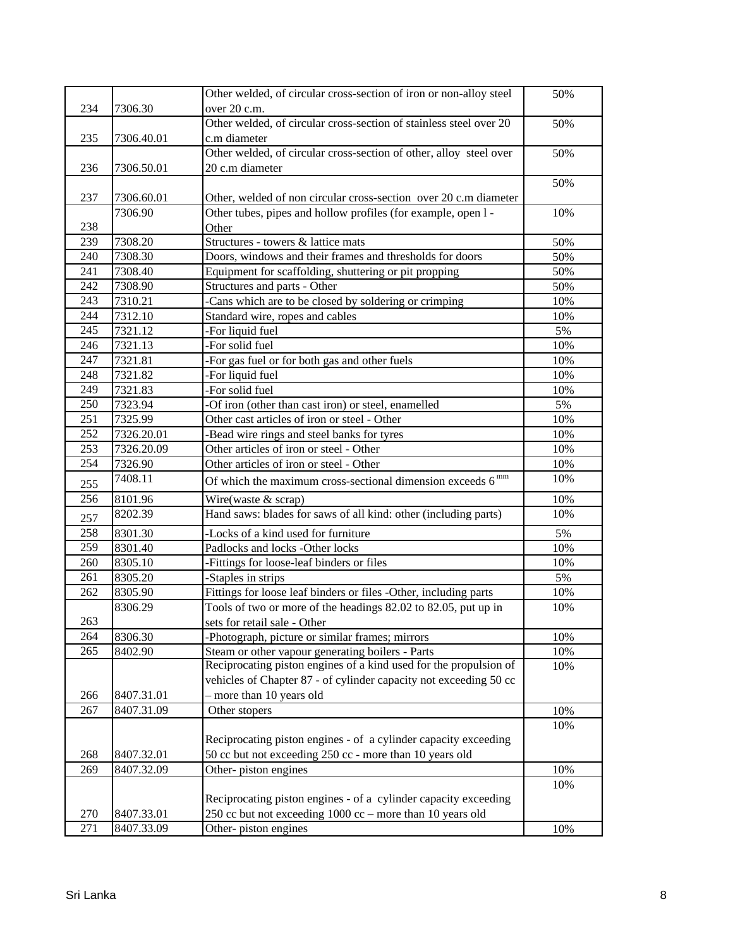|     |            | Other welded, of circular cross-section of iron or non-alloy steel | 50% |
|-----|------------|--------------------------------------------------------------------|-----|
| 234 | 7306.30    | over 20 c.m.                                                       |     |
|     |            | Other welded, of circular cross-section of stainless steel over 20 | 50% |
| 235 | 7306.40.01 | c.m diameter                                                       |     |
|     |            | Other welded, of circular cross-section of other, alloy steel over | 50% |
| 236 | 7306.50.01 | 20 c.m diameter                                                    |     |
|     |            |                                                                    | 50% |
| 237 | 7306.60.01 | Other, welded of non circular cross-section over 20 c.m diameter   |     |
|     | 7306.90    | Other tubes, pipes and hollow profiles (for example, open 1 -      | 10% |
| 238 |            | Other                                                              |     |
| 239 | 7308.20    | Structures - towers & lattice mats                                 | 50% |
| 240 | 7308.30    | Doors, windows and their frames and thresholds for doors           | 50% |
| 241 | 7308.40    | Equipment for scaffolding, shuttering or pit propping              | 50% |
| 242 | 7308.90    | Structures and parts - Other                                       | 50% |
| 243 | 7310.21    | -Cans which are to be closed by soldering or crimping              | 10% |
| 244 | 7312.10    | Standard wire, ropes and cables                                    | 10% |
| 245 | 7321.12    | -For liquid fuel                                                   | 5%  |
| 246 | 7321.13    | -For solid fuel                                                    | 10% |
| 247 | 7321.81    | -For gas fuel or for both gas and other fuels                      | 10% |
| 248 | 7321.82    | -For liquid fuel                                                   | 10% |
| 249 | 7321.83    | -For solid fuel                                                    | 10% |
| 250 | 7323.94    | -Of iron (other than cast iron) or steel, enamelled                | 5%  |
| 251 | 7325.99    | Other cast articles of iron or steel - Other                       | 10% |
| 252 | 7326.20.01 | -Bead wire rings and steel banks for tyres                         | 10% |
| 253 | 7326.20.09 | Other articles of iron or steel - Other                            | 10% |
| 254 | 7326.90    | Other articles of iron or steel - Other                            | 10% |
| 255 | 7408.11    | Of which the maximum cross-sectional dimension exceeds $6^{mm}$    | 10% |
| 256 | 8101.96    | Wire(waste & scrap)                                                | 10% |
| 257 | 8202.39    | Hand saws: blades for saws of all kind: other (including parts)    | 10% |
| 258 | 8301.30    | -Locks of a kind used for furniture                                | 5%  |
| 259 | 8301.40    | Padlocks and locks -Other locks                                    | 10% |
| 260 | 8305.10    | -Fittings for loose-leaf binders or files                          | 10% |
| 261 | 8305.20    | -Staples in strips                                                 | 5%  |
| 262 | 8305.90    | Fittings for loose leaf binders or files -Other, including parts   | 10% |
|     | 8306.29    | Tools of two or more of the headings 82.02 to 82.05, put up in     | 10% |
| 263 |            | sets for retail sale - Other                                       |     |
| 264 | 8306.30    | -Photograph, picture or similar frames; mirrors                    | 10% |
| 265 | 8402.90    | Steam or other vapour generating boilers - Parts                   | 10% |
|     |            | Reciprocating piston engines of a kind used for the propulsion of  | 10% |
|     |            | vehicles of Chapter 87 - of cylinder capacity not exceeding 50 cc  |     |
| 266 | 8407.31.01 | more than 10 years old                                             |     |
| 267 | 8407.31.09 | Other stopers                                                      | 10% |
|     |            |                                                                    | 10% |
|     |            | Reciprocating piston engines - of a cylinder capacity exceeding    |     |
| 268 | 8407.32.01 | 50 cc but not exceeding 250 cc - more than 10 years old            |     |
| 269 | 8407.32.09 | Other-piston engines                                               | 10% |
|     |            |                                                                    | 10% |
|     |            | Reciprocating piston engines - of a cylinder capacity exceeding    |     |
| 270 | 8407.33.01 | 250 cc but not exceeding $1000$ cc – more than 10 years old        |     |
| 271 | 8407.33.09 | Other-piston engines                                               | 10% |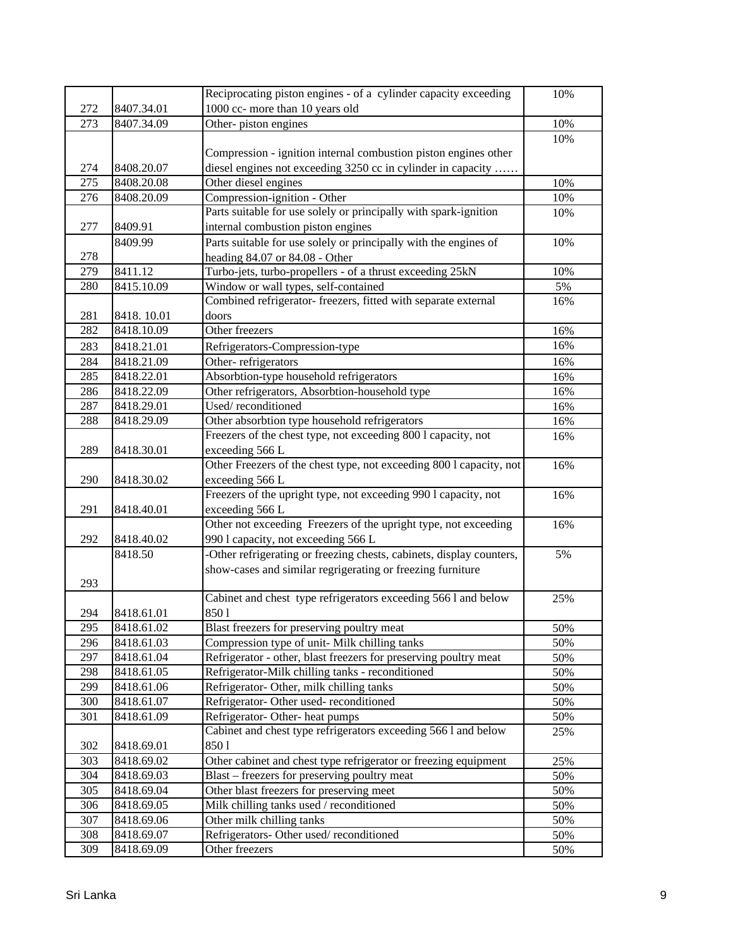|                  |            | Reciprocating piston engines - of a cylinder capacity exceeding      | 10% |
|------------------|------------|----------------------------------------------------------------------|-----|
| 272              | 8407.34.01 | 1000 cc- more than 10 years old                                      |     |
| 273              | 8407.34.09 | Other-piston engines                                                 | 10% |
|                  |            |                                                                      | 10% |
|                  |            | Compression - ignition internal combustion piston engines other      |     |
| 274              | 8408.20.07 | diesel engines not exceeding 3250 cc in cylinder in capacity         |     |
| $\overline{275}$ | 8408.20.08 | Other diesel engines                                                 | 10% |
| 276              | 8408.20.09 | Compression-ignition - Other                                         | 10% |
|                  |            | Parts suitable for use solely or principally with spark-ignition     | 10% |
| 277              | 8409.91    | internal combustion piston engines                                   |     |
|                  | 8409.99    | Parts suitable for use solely or principally with the engines of     | 10% |
| 278              |            | heading 84.07 or 84.08 - Other                                       |     |
| 279              | 8411.12    | Turbo-jets, turbo-propellers - of a thrust exceeding 25kN            | 10% |
| 280              | 8415.10.09 | Window or wall types, self-contained                                 | 5%  |
|                  |            | Combined refrigerator- freezers, fitted with separate external       | 16% |
| 281              | 8418.10.01 | doors                                                                |     |
| 282              | 8418.10.09 | Other freezers                                                       | 16% |
| 283              | 8418.21.01 | Refrigerators-Compression-type                                       | 16% |
| 284              | 8418.21.09 | Other-refrigerators                                                  | 16% |
| 285              | 8418.22.01 | Absorbtion-type household refrigerators                              | 16% |
| 286              | 8418.22.09 | Other refrigerators, Absorbtion-household type                       | 16% |
| 287              | 8418.29.01 | Used/reconditioned                                                   | 16% |
| 288              | 8418.29.09 | Other absorbtion type household refrigerators                        | 16% |
|                  |            | Freezers of the chest type, not exceeding 800 l capacity, not        | 16% |
| 289              | 8418.30.01 | exceeding 566 L                                                      |     |
|                  |            | Other Freezers of the chest type, not exceeding 800 l capacity, not  | 16% |
| 290              | 8418.30.02 | exceeding 566 L                                                      |     |
|                  |            | Freezers of the upright type, not exceeding 990 l capacity, not      | 16% |
| 291              | 8418.40.01 | exceeding 566 L                                                      |     |
|                  |            | Other not exceeding Freezers of the upright type, not exceeding      | 16% |
| 292              | 8418.40.02 | 990 l capacity, not exceeding 566 L                                  |     |
|                  | 8418.50    | -Other refrigerating or freezing chests, cabinets, display counters, | 5%  |
|                  |            | show-cases and similar regrigerating or freezing furniture           |     |
| 293              |            |                                                                      |     |
|                  |            | Cabinet and chest type refrigerators exceeding 566 l and below       | 25% |
| 294              | 8418.61.01 | 8501                                                                 |     |
| 295              | 8418.61.02 | Blast freezers for preserving poultry meat                           | 50% |
| 296              | 8418.61.03 | Compression type of unit- Milk chilling tanks                        | 50% |
| 297              | 8418.61.04 | Refrigerator - other, blast freezers for preserving poultry meat     | 50% |
| 298              | 8418.61.05 | Refrigerator-Milk chilling tanks - reconditioned                     | 50% |
| 299              | 8418.61.06 | Refrigerator- Other, milk chilling tanks                             | 50% |
| 300              | 8418.61.07 | Refrigerator-Other used-reconditioned                                | 50% |
| 301              | 8418.61.09 | Refrigerator- Other- heat pumps                                      | 50% |
|                  |            | Cabinet and chest type refrigerators exceeding 566 l and below       | 25% |
| 302              | 8418.69.01 | 8501                                                                 |     |
| 303              | 8418.69.02 | Other cabinet and chest type refrigerator or freezing equipment      | 25% |
| 304              | 8418.69.03 | Blast – freezers for preserving poultry meat                         | 50% |
| 305              | 8418.69.04 | Other blast freezers for preserving meet                             | 50% |
| 306              | 8418.69.05 | Milk chilling tanks used / reconditioned                             | 50% |
| 307              | 8418.69.06 | Other milk chilling tanks                                            | 50% |
| 308              | 8418.69.07 | Refrigerators- Other used/reconditioned                              | 50% |
| 309              | 8418.69.09 | Other freezers                                                       | 50% |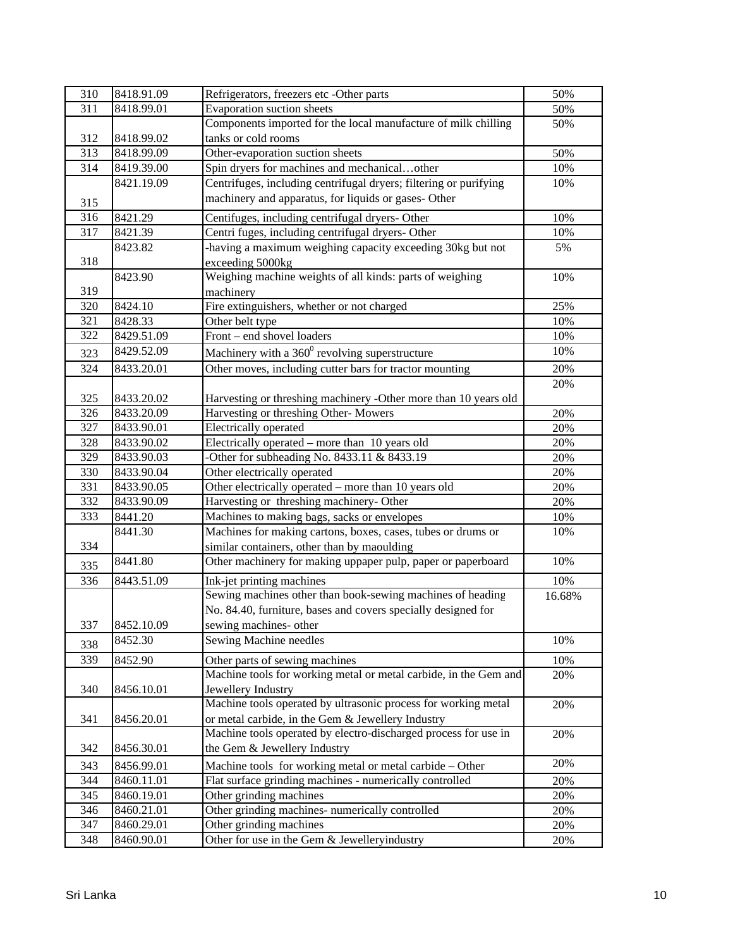| 310              | 8418.91.09 | Refrigerators, freezers etc -Other parts                          | 50%    |
|------------------|------------|-------------------------------------------------------------------|--------|
| 311              | 8418.99.01 | Evaporation suction sheets                                        | 50%    |
|                  |            | Components imported for the local manufacture of milk chilling    | 50%    |
| 312              | 8418.99.02 | tanks or cold rooms                                               |        |
| $\overline{313}$ | 8418.99.09 | Other-evaporation suction sheets                                  | 50%    |
| 314              | 8419.39.00 | Spin dryers for machines and mechanicalother                      | 10%    |
|                  | 8421.19.09 | Centrifuges, including centrifugal dryers; filtering or purifying | 10%    |
| 315              |            | machinery and apparatus, for liquids or gases- Other              |        |
| 316              | 8421.29    | Centifuges, including centrifugal dryers- Other                   | 10%    |
| 317              | 8421.39    | Centri fuges, including centrifugal dryers- Other                 | 10%    |
|                  | 8423.82    | -having a maximum weighing capacity exceeding 30kg but not        | 5%     |
| 318              |            | exceeding 5000kg                                                  |        |
|                  | 8423.90    | Weighing machine weights of all kinds: parts of weighing          | 10%    |
| 319              |            | machinery                                                         |        |
| 320              | 8424.10    | Fire extinguishers, whether or not charged                        | 25%    |
| 321              | 8428.33    | Other belt type                                                   | 10%    |
| 322              | 8429.51.09 | Front - end shovel loaders                                        | 10%    |
| 323              | 8429.52.09 | Machinery with a 360 <sup>0</sup> revolving superstructure        | 10%    |
| 324              | 8433.20.01 | Other moves, including cutter bars for tractor mounting           | 20%    |
|                  |            |                                                                   | 20%    |
| 325              | 8433.20.02 | Harvesting or threshing machinery -Other more than 10 years old   |        |
| 326              | 8433.20.09 | Harvesting or threshing Other-Mowers                              | 20%    |
| 327              | 8433.90.01 | Electrically operated                                             | 20%    |
| 328              | 8433.90.02 | Electrically operated - more than 10 years old                    | 20%    |
| 329              | 8433.90.03 | -Other for subheading No. 8433.11 & 8433.19                       | 20%    |
| 330              | 8433.90.04 | Other electrically operated                                       | 20%    |
| 331              | 8433.90.05 | Other electrically operated - more than 10 years old              | 20%    |
| 332              | 8433.90.09 | Harvesting or threshing machinery- Other                          | 20%    |
| 333              | 8441.20    | Machines to making bags, sacks or envelopes                       | 10%    |
|                  | 8441.30    | Machines for making cartons, boxes, cases, tubes or drums or      | 10%    |
| 334              |            | similar containers, other than by maoulding                       |        |
| 335              | 8441.80    | Other machinery for making uppaper pulp, paper or paperboard      | 10%    |
| 336              | 8443.51.09 | Ink-jet printing machines                                         | 10%    |
|                  |            | Sewing machines other than book-sewing machines of heading        | 16.68% |
|                  |            | No. 84.40, furniture, bases and covers specially designed for     |        |
| 337              | 8452.10.09 | sewing machines- other                                            |        |
| 338              | 8452.30    | Sewing Machine needles                                            | 10%    |
| 339              | 8452.90    | Other parts of sewing machines                                    | 10%    |
|                  |            | Machine tools for working metal or metal carbide, in the Gem and  | 20%    |
| 340              | 8456.10.01 | Jewellery Industry                                                |        |
|                  |            | Machine tools operated by ultrasonic process for working metal    | 20%    |
| 341              | 8456.20.01 | or metal carbide, in the Gem & Jewellery Industry                 |        |
|                  |            | Machine tools operated by electro-discharged process for use in   | 20%    |
| 342              | 8456.30.01 | the Gem & Jewellery Industry                                      |        |
| 343              | 8456.99.01 | Machine tools for working metal or metal carbide - Other          | 20%    |
| 344              | 8460.11.01 | Flat surface grinding machines - numerically controlled           | 20%    |
| 345              | 8460.19.01 | Other grinding machines                                           | 20%    |
| 346              | 8460.21.01 | Other grinding machines- numerically controlled                   | 20%    |
| 347              | 8460.29.01 | Other grinding machines                                           | 20%    |
| 348              | 8460.90.01 | Other for use in the Gem & Jewelleryindustry                      | 20%    |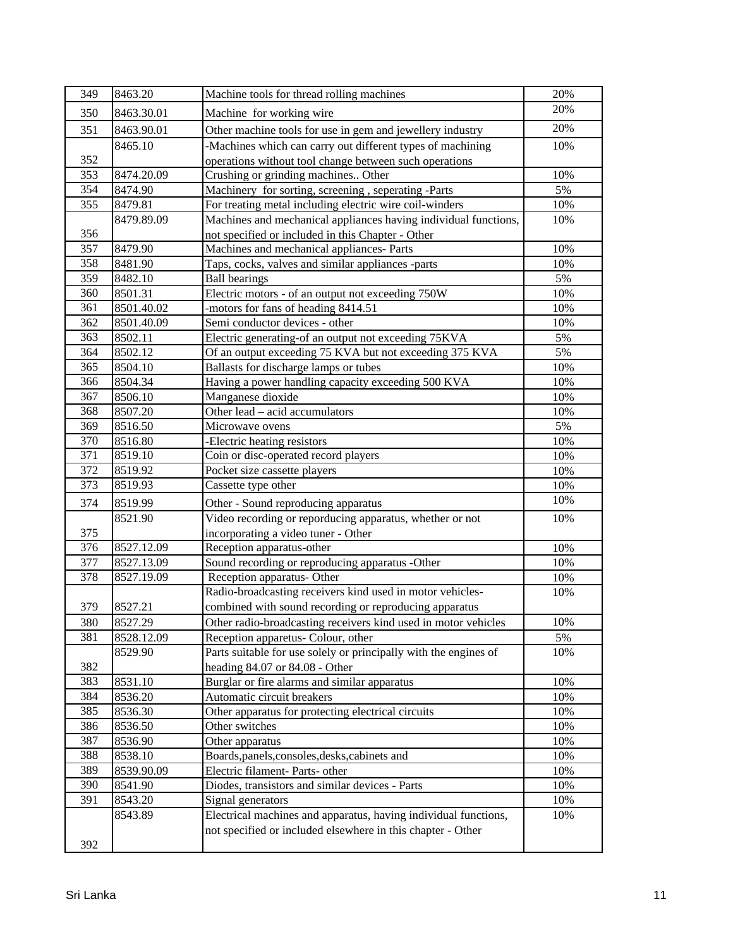| 349              | 8463.20    | Machine tools for thread rolling machines                        | 20% |
|------------------|------------|------------------------------------------------------------------|-----|
| 350              | 8463.30.01 | Machine for working wire                                         | 20% |
| 351              | 8463.90.01 | Other machine tools for use in gem and jewellery industry        | 20% |
|                  | 8465.10    | -Machines which can carry out different types of machining       | 10% |
| 352              |            | operations without tool change between such operations           |     |
| 353              | 8474.20.09 | Crushing or grinding machines Other                              | 10% |
| 354              | 8474.90    | Machinery for sorting, screening, seperating -Parts              | 5%  |
| 355              | 8479.81    | For treating metal including electric wire coil-winders          | 10% |
|                  | 8479.89.09 | Machines and mechanical appliances having individual functions,  | 10% |
| 356              |            | not specified or included in this Chapter - Other                |     |
| 357              | 8479.90    | Machines and mechanical appliances- Parts                        | 10% |
| 358              | 8481.90    | Taps, cocks, valves and similar appliances -parts                | 10% |
| 359              | 8482.10    | <b>Ball bearings</b>                                             | 5%  |
| 360              | 8501.31    | Electric motors - of an output not exceeding 750W                | 10% |
| 361              | 8501.40.02 | -motors for fans of heading 8414.51                              | 10% |
| $\overline{362}$ | 8501.40.09 | Semi conductor devices - other                                   | 10% |
| 363              | 8502.11    | Electric generating-of an output not exceeding 75KVA             | 5%  |
| 364              | 8502.12    | Of an output exceeding 75 KVA but not exceeding 375 KVA          | 5%  |
| 365              | 8504.10    | Ballasts for discharge lamps or tubes                            | 10% |
| 366              | 8504.34    | Having a power handling capacity exceeding 500 KVA               | 10% |
| 367              | 8506.10    | Manganese dioxide                                                | 10% |
| 368              | 8507.20    | Other lead - acid accumulators                                   | 10% |
| 369              | 8516.50    | Microwave ovens                                                  | 5%  |
| 370              | 8516.80    | -Electric heating resistors                                      | 10% |
| 371              | 8519.10    | Coin or disc-operated record players                             | 10% |
| 372              | 8519.92    | Pocket size cassette players                                     | 10% |
| 373              | 8519.93    | Cassette type other                                              | 10% |
| 374              | 8519.99    | Other - Sound reproducing apparatus                              | 10% |
|                  | 8521.90    | Video recording or reporducing apparatus, whether or not         | 10% |
| 375              |            | incorporating a video tuner - Other                              |     |
| 376              | 8527.12.09 | Reception apparatus-other                                        | 10% |
| 377              | 8527.13.09 | Sound recording or reproducing apparatus -Other                  | 10% |
| 378              | 8527.19.09 | Reception apparatus- Other                                       | 10% |
|                  |            | Radio-broadcasting receivers kind used in motor vehicles-        | 10% |
| 379              | 8527.21    | combined with sound recording or reproducing apparatus           |     |
| 380              | 8527.29    | Other radio-broadcasting receivers kind used in motor vehicles   | 10% |
| 381              | 8528.12.09 | Reception apparetus- Colour, other                               | 5%  |
|                  | 8529.90    | Parts suitable for use solely or principally with the engines of | 10% |
| 382              |            | heading $84.07$ or $84.08$ - Other                               |     |
| 383              | 8531.10    | Burglar or fire alarms and similar apparatus                     | 10% |
| 384              | 8536.20    | Automatic circuit breakers                                       | 10% |
| 385              | 8536.30    | Other apparatus for protecting electrical circuits               | 10% |
| 386              | 8536.50    | Other switches                                                   | 10% |
| 387              | 8536.90    | Other apparatus                                                  | 10% |
| 388              | 8538.10    | Boards, panels, consoles, desks, cabinets and                    | 10% |
| 389              | 8539.90.09 | Electric filament- Parts- other                                  | 10% |
| 390              | 8541.90    | Diodes, transistors and similar devices - Parts                  | 10% |
| 391              | 8543.20    | Signal generators                                                | 10% |
|                  | 8543.89    | Electrical machines and apparatus, having individual functions,  | 10% |
|                  |            | not specified or included elsewhere in this chapter - Other      |     |
| 392              |            |                                                                  |     |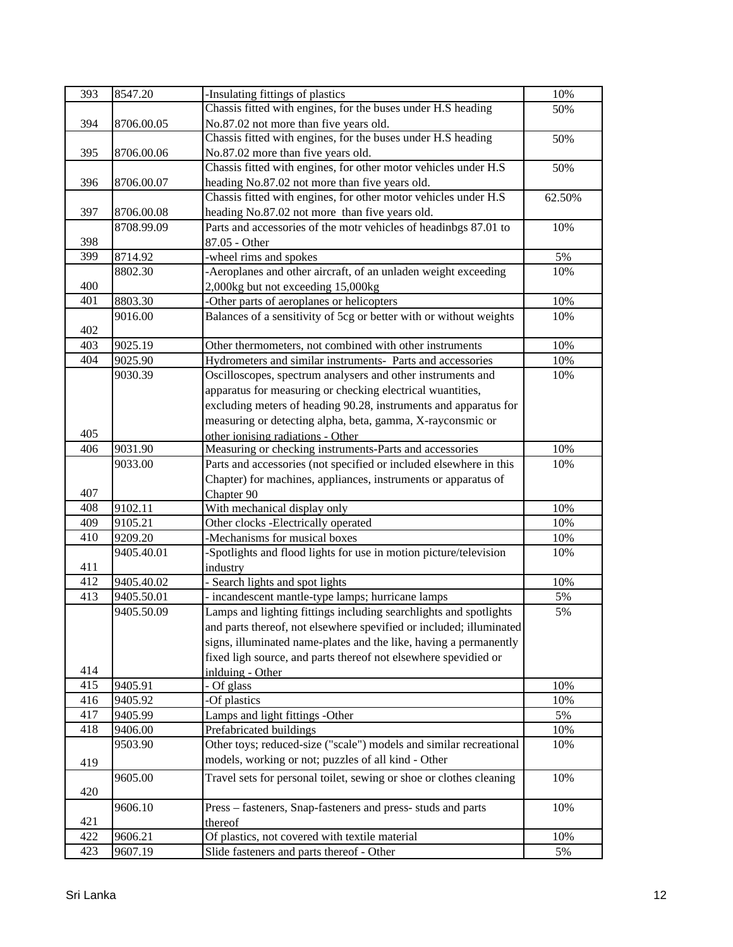| 393 | 8547.20    | -Insulating fittings of plastics                                    | 10%    |
|-----|------------|---------------------------------------------------------------------|--------|
|     |            | Chassis fitted with engines, for the buses under H.S heading        | 50%    |
| 394 | 8706.00.05 | No.87.02 not more than five years old.                              |        |
|     |            | Chassis fitted with engines, for the buses under H.S heading        | 50%    |
| 395 | 8706.00.06 | No.87.02 more than five years old.                                  |        |
|     |            | Chassis fitted with engines, for other motor vehicles under H.S     | 50%    |
| 396 | 8706.00.07 | heading No.87.02 not more than five years old.                      |        |
|     |            | Chassis fitted with engines, for other motor vehicles under H.S     | 62.50% |
| 397 | 8706.00.08 | heading No.87.02 not more than five years old.                      |        |
|     | 8708.99.09 | Parts and accessories of the motr vehicles of headinbgs 87.01 to    | 10%    |
| 398 |            | 87.05 - Other                                                       |        |
| 399 | 8714.92    | -wheel rims and spokes                                              | 5%     |
|     | 8802.30    | -Aeroplanes and other aircraft, of an unladen weight exceeding      | 10%    |
| 400 |            | 2,000kg but not exceeding 15,000kg                                  |        |
| 401 | 8803.30    | -Other parts of aeroplanes or helicopters                           | 10%    |
|     | 9016.00    | Balances of a sensitivity of 5cg or better with or without weights  | 10%    |
| 402 |            |                                                                     |        |
| 403 | 9025.19    | Other thermometers, not combined with other instruments             | 10%    |
| 404 | 9025.90    | Hydrometers and similar instruments- Parts and accessories          | 10%    |
|     | 9030.39    | Oscilloscopes, spectrum analysers and other instruments and         | 10%    |
|     |            | apparatus for measuring or checking electrical wuantities,          |        |
|     |            |                                                                     |        |
|     |            | excluding meters of heading 90.28, instruments and apparatus for    |        |
| 405 |            | measuring or detecting alpha, beta, gamma, X-rayconsmic or          |        |
|     |            | other ionising radiations - Other                                   |        |
| 406 | 9031.90    | Measuring or checking instruments-Parts and accessories             | 10%    |
|     | 9033.00    | Parts and accessories (not specified or included elsewhere in this  | 10%    |
|     |            | Chapter) for machines, appliances, instruments or apparatus of      |        |
| 407 |            | Chapter 90                                                          |        |
| 408 | 9102.11    | With mechanical display only                                        | 10%    |
| 409 | 9105.21    | Other clocks -Electrically operated                                 | 10%    |
| 410 | 9209.20    | -Mechanisms for musical boxes                                       | 10%    |
|     | 9405.40.01 | -Spotlights and flood lights for use in motion picture/television   | 10%    |
| 411 |            | industry                                                            |        |
| 412 | 9405.40.02 | - Search lights and spot lights                                     | 10%    |
| 413 | 9405.50.01 | - incandescent mantle-type lamps; hurricane lamps                   | 5%     |
|     | 9405.50.09 | Lamps and lighting fittings including searchlights and spotlights   | 5%     |
|     |            | and parts thereof, not elsewhere spevified or included; illuminated |        |
|     |            | signs, illuminated name-plates and the like, having a permanently   |        |
|     |            | fixed ligh source, and parts thereof not elsewhere spevidied or     |        |
| 414 |            | inlduing - Other                                                    |        |
| 415 | 9405.91    | - Of glass                                                          | 10%    |
| 416 | 9405.92    | -Of plastics                                                        | 10%    |
| 417 | 9405.99    | Lamps and light fittings -Other                                     | 5%     |
| 418 | 9406.00    | Prefabricated buildings                                             | 10%    |
|     | 9503.90    | Other toys; reduced-size ("scale") models and similar recreational  | 10%    |
| 419 |            | models, working or not; puzzles of all kind - Other                 |        |
|     | 9605.00    | Travel sets for personal toilet, sewing or shoe or clothes cleaning | 10%    |
| 420 |            |                                                                     |        |
|     | 9606.10    | Press - fasteners, Snap-fasteners and press- studs and parts        | 10%    |
| 421 |            | thereof                                                             |        |
| 422 | 9606.21    | Of plastics, not covered with textile material                      | 10%    |
| 423 | 9607.19    | Slide fasteners and parts thereof - Other                           | 5%     |
|     |            |                                                                     |        |